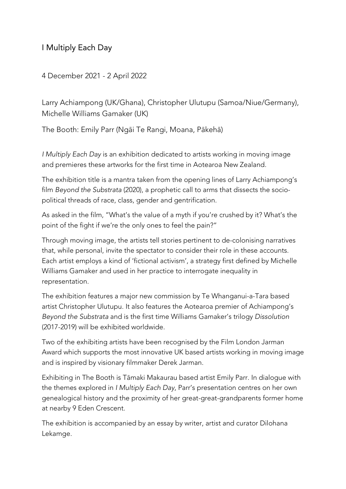I Multiply Each Day

4 December 2021 - 2 April 2022

Larry Achiampong (UK/Ghana), Christopher Ulutupu (Samoa/Niue/Germany), Michelle Williams Gamaker (UK)

The Booth: Emily Parr (Ngāi Te Rangi, Moana, Pākehā)

*I Multiply Each Day* is an exhibition dedicated to artists working in moving image and premieres these artworks for the first time in Aotearoa New Zealand.

The exhibition title is a mantra taken from the opening lines of Larry Achiampong's film *Beyond the Substrata* (2020), a prophetic call to arms that dissects the sociopolitical threads of race, class, gender and gentrification.

As asked in the film, "What's the value of a myth if you're crushed by it? What's the point of the fight if we're the only ones to feel the pain?"

Through moving image, the artists tell stories pertinent to de-colonising narratives that, while personal, invite the spectator to consider their role in these accounts. Each artist employs a kind of 'fictional activism', a strategy first defined by Michelle Williams Gamaker and used in her practice to interrogate inequality in representation.

The exhibition features a major new commission by Te Whanganui-a-Tara based artist Christopher Ulutupu. It also features the Aotearoa premier of Achiampong's *Beyond the Substrata* and is the first time Williams Gamaker's trilogy *Dissolution*  (2017-2019) will be exhibited worldwide.

Two of the exhibiting artists have been recognised by the Film London Jarman Award which supports the most innovative UK based artists working in moving image and is inspired by visionary filmmaker Derek Jarman.

Exhibiting in The Booth is Tāmaki Makaurau based artist Emily Parr. In dialogue with the themes explored in *I Multiply Each Day*, Parr's presentation centres on her own genealogical history and the proximity of her great-great-grandparents former home at nearby 9 Eden Crescent.

The exhibition is accompanied by an essay by writer, artist and curator Dilohana Lekamge.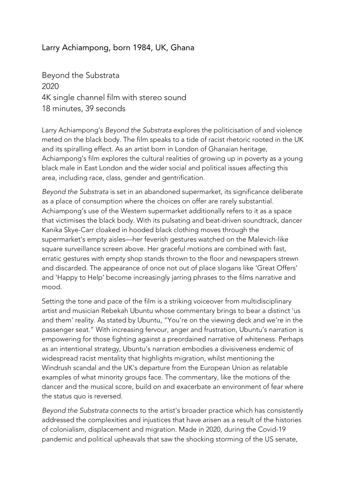## Larry Achiampong, born 1984, UK, Ghana

Beyond the Substrata 2020 4K single channel film with stereo sound 18 minutes, 39 seconds

Larry Achiampong's *Beyond the Substrata* explores the politicisation of and violence meted on the black body. The film speaks to a tide of racist rhetoric rooted in the UK and its spiralling effect. As an artist born in London of Ghanaian heritage, Achiampong's film explores the cultural realities of growing up in poverty as a young black male in East London and the wider social and political issues affecting this area, including race, class, gender and gentrification.

*Beyond the Substrata* is set in an abandoned supermarket, its significance deliberate as a place of consumption where the choices on offer are rarely substantial. Achiampong's use of the Western supermarket additionally refers to it as a space that victimises the black body. With its pulsating and beat-driven soundtrack, dancer Kanika Skye-Carr cloaked in hooded black clothing moves through the supermarket's empty aisles—her feverish gestures watched on the Malevich-like square surveillance screen above. Her graceful motions are combined with fast, erratic gestures with empty shop stands thrown to the floor and newspapers strewn and discarded. The appearance of once not out of place slogans like 'Great Offers' and 'Happy to Help' become increasingly jarring phrases to the films narrative and mood.

Setting the tone and pace of the film is a striking voiceover from multidisciplinary artist and musician Rebekah Ubuntu whose commentary brings to bear a distinct 'us and them' reality. As stated by Ubuntu, "You're on the viewing deck and we're in the passenger seat." With increasing fervour, anger and frustration, Ubuntu's narration is empowering for those fighting against a preordained narrative of whiteness. Perhaps as an intentional strategy, Ubuntu's narration embodies a divisiveness endemic of widespread racist mentality that highlights migration, whilst mentioning the Windrush scandal and the UK's departure from the European Union as relatable examples of what minority groups face. The commentary, like the motions of the dancer and the musical score, build on and exacerbate an environment of fear where the status quo is reversed.

*Beyond the Substrata* connects to the artist's broader practice which has consistently addressed the complexities and injustices that have arisen as a result of the histories of colonialism, displacement and migration. Made in 2020, during the Covid-19 pandemic and political upheavals that saw the shocking storming of the US senate,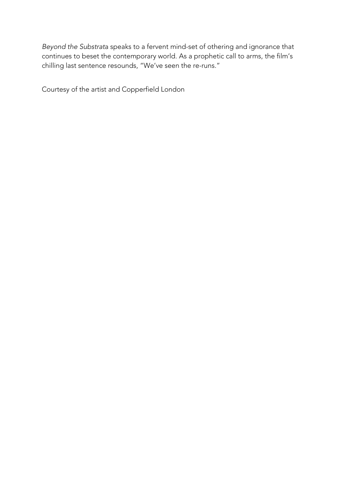*Beyond the Substrat*a speaks to a fervent mind-set of othering and ignorance that continues to beset the contemporary world. As a prophetic call to arms, the film's chilling last sentence resounds, "We've seen the re-runs."

Courtesy of the artist and Copperfield London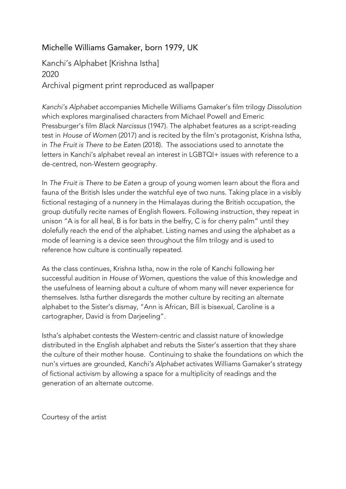## Michelle Williams Gamaker, born 1979, UK

## Kanchi's Alphabet [Krishna Istha] 2020 Archival pigment print reproduced as wallpaper

*Kanchi's Alphabet* accompanies Michelle Williams Gamaker's film trilogy *Dissolution* which explores marginalised characters from Michael Powell and Emeric Pressburger's film *Black Narcissus* (1947). The alphabet features as a script-reading test in *House of Women* (2017) and is recited by the film's protagonist, Krishna Istha, in *The Fruit is There to be Eate*n (2018). The associations used to annotate the letters in Kanchi's alphabet reveal an interest in LGBTQI+ issues with reference to a de-centred, non-Western geography.

In *The Fruit is There to be Eaten* a group of young women learn about the flora and fauna of the British Isles under the watchful eye of two nuns. Taking place in a visibly fictional restaging of a nunnery in the Himalayas during the British occupation, the group dutifully recite names of English flowers. Following instruction, they repeat in unison "A is for all heal, B is for bats in the belfry, C is for cherry palm" until they dolefully reach the end of the alphabet. Listing names and using the alphabet as a mode of learning is a device seen throughout the film trilogy and is used to reference how culture is continually repeated.

As the class continues, Krishna Istha, now in the role of Kanchi following her successful audition in *House of Women*, questions the value of this knowledge and the usefulness of learning about a culture of whom many will never experience for themselves. Istha further disregards the mother culture by reciting an alternate alphabet to the Sister's dismay, "Ann is African, Bill is bisexual, Caroline is a cartographer, David is from Darjeeling".

Istha's alphabet contests the Western-centric and classist nature of knowledge distributed in the English alphabet and rebuts the Sister's assertion that they share the culture of their mother house. Continuing to shake the foundations on which the nun's virtues are grounded, *Kanchi's Alphabet* activates Williams Gamaker's strategy of fictional activism by allowing a space for a multiplicity of readings and the generation of an alternate outcome.

Courtesy of the artist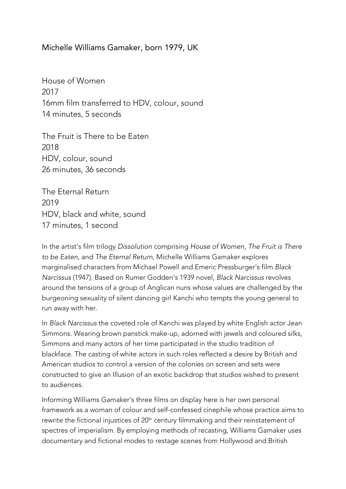Michelle Williams Gamaker, born 1979, UK

House of Women 2017 16mm film transferred to HDV, colour, sound 14 minutes, 5 seconds

The Fruit is There to be Eaten 2018 HDV, colour, sound 26 minutes, 36 seconds

The Eternal Return 2019 HDV, black and white, sound 17 minutes, 1 second

In the artist's film trilogy *Dissolution* comprising *House of Women*, *The Fruit is There to be Eaten,* and *The Eternal Return*, Michelle Williams Gamaker explores marginalised characters from Michael Powell and Emeric Pressburger's film *Black Narcissus* (1947). Based on Rumer Godden's 1939 novel, *Black Narcissus* revolves around the tensions of a group of Anglican nuns whose values are challenged by the burgeoning sexuality of silent dancing girl Kanchi who tempts the young general to run away with her.

In *Black Narcissus* the coveted role of Kanchi was played by white English actor Jean Simmons. Wearing brown panstick make-up, adorned with jewels and coloured silks, Simmons and many actors of her time participated in the studio tradition of blackface. The casting of white actors in such roles reflected a desire by British and American studios to control a version of the colonies on screen and sets were constructed to give an Illusion of an exotic backdrop that studios wished to present to audiences.

Informing Williams Gamaker's three films on display here is her own personal framework as a woman of colour and self-confessed cinephile whose practice aims to rewrite the fictional injustices of 20<sup>th</sup> century filmmaking and their reinstatement of spectres of imperialism. By employing methods of recasting, Williams Gamaker uses documentary and fictional modes to restage scenes from Hollywood and British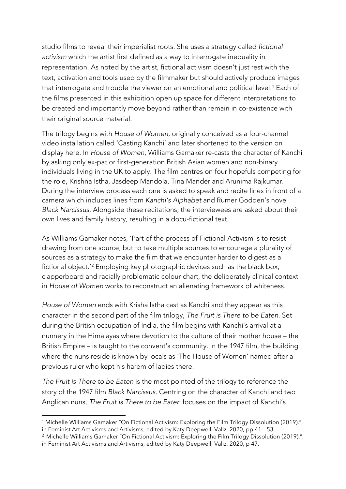studio films to reveal their imperialist roots. She uses a strategy called *fictional activism* which the artist first defined as a way to interrogate inequality in representation. As noted by the artist, fictional activism doesn't just rest with the text, activation and tools used by the filmmaker but should actively produce images that interrogate and trouble the viewer on an emotional and political level.<sup>[1](#page-5-0)</sup> Each of the films presented in this exhibition open up space for different interpretations to be created and importantly move beyond rather than remain in co-existence with their original source material.

The trilogy begins with *House of Women*, originally conceived as a four-channel video installation called 'Casting Kanchi' and later shortened to the version on display here. In *House of Women*, Williams Gamaker re-casts the character of Kanchi by asking only ex-pat or first-generation British Asian women and non-binary individuals living in the UK to apply. The film centres on four hopefuls competing for the role, Krishna Istha, Jasdeep Mandola, Tina Mander and Arunima Rajkumar. During the interview process each one is asked to speak and recite lines in front of a camera which includes lines from *Kanchi's Alphabet* and Rumer Godden's novel *Black Narcissus.* Alongside these recitations, the interviewees are asked about their own lives and family history, resulting in a docu-fictional text.

As Williams Gamaker notes, 'Part of the process of Fictional Activism is to resist drawing from one source, but to take multiple sources to encourage a plurality of sources as a strategy to make the film that we encounter harder to digest as a fictional object.'[2](#page-5-1) Employing key photographic devices such as the black box, clapperboard and racially problematic colour chart, the deliberately clinical context in *House of Women* works to reconstruct an alienating framework of whiteness.

*House of Women* ends with Krisha Istha cast as Kanchi and they appear as this character in the second part of the film trilogy, *The Fruit is There to be Eaten*. Set during the British occupation of India, the film begins with Kanchi's arrival at a nunnery in the Himalayas where devotion to the culture of their mother house – the British Empire – is taught to the convent's community. In the 1947 film, the building where the nuns reside is known by locals as 'The House of Women' named after a previous ruler who kept his harem of ladies there.

*The Fruit is There to be Eaten* is the most pointed of the trilogy to reference the story of the 1947 film *Black Narcissus*. Centring on the character of Kanchi and two Anglican nuns, *The Fruit is There to be Eaten* focuses on the impact of Kanchi's

<span id="page-5-0"></span><sup>&</sup>lt;sup>1</sup> Michelle Williams Gamaker "On Fictional Activism: Exploring the Film Trilogy Dissolution (2019).", in Feminist Art Activisms and Artivisms, edited by Katy Deepwell, Valiz, 2020, pp 41 – 53.

<span id="page-5-1"></span><sup>&</sup>lt;sup>2</sup> Michelle Williams Gamaker "On Fictional Activism: Exploring the Film Trilogy Dissolution (2019).", in Feminist Art Activisms and Artivisms, edited by Katy Deepwell, Valiz, 2020, p 47.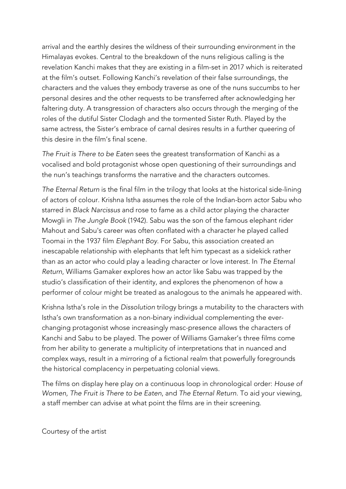arrival and the earthly desires the wildness of their surrounding environment in the Himalayas evokes. Central to the breakdown of the nuns religious calling is the revelation Kanchi makes that they are existing in a film-set in 2017 which is reiterated at the film's outset. Following Kanchi's revelation of their false surroundings, the characters and the values they embody traverse as one of the nuns succumbs to her personal desires and the other requests to be transferred after acknowledging her faltering duty. A transgression of characters also occurs through the merging of the roles of the dutiful Sister Clodagh and the tormented Sister Ruth. Played by the same actress, the Sister's embrace of carnal desires results in a further queering of this desire in the film's final scene.

*The Fruit is There to be Eaten* sees the greatest transformation of Kanchi as a vocalised and bold protagonist whose open questioning of their surroundings and the nun's teachings transforms the narrative and the characters outcomes.

*The Eternal Return* is the final film in the trilogy that looks at the historical side-lining of actors of colour. Krishna Istha assumes the role of the Indian-born actor Sabu who starred in *Black Narcissus* and rose to fame as a child actor playing the character Mowgli in *The Jungle Book* (1942). Sabu was the son of the famous elephant rider Mahout and Sabu's career was often conflated with a character he played called Toomai in the 1937 film *Elephant Boy*. For Sabu, this association created an inescapable relationship with elephants that left him typecast as a sidekick rather than as an actor who could play a leading character or love interest. In *The Eternal Return*, Williams Gamaker explores how an actor like Sabu was trapped by the studio's classification of their identity, and explores the phenomenon of how a performer of colour might be treated as analogous to the animals he appeared with.

Krishna Istha's role in the *Dissolution* trilogy brings a mutability to the characters with Istha's own transformation as a non-binary individual complementing the everchanging protagonist whose increasingly masc-presence allows the characters of Kanchi and Sabu to be played. The power of Williams Gamaker's three films come from her ability to generate a multiplicity of interpretations that in nuanced and complex ways, result in a mirroring of a fictional realm that powerfully foregrounds the historical complacency in perpetuating colonial views.

The films on display here play on a continuous loop in chronological order: *House of Women, The Fruit is There to be Eaten*, and *The Eternal Return*. To aid your viewing, a staff member can advise at what point the films are in their screening.

Courtesy of the artist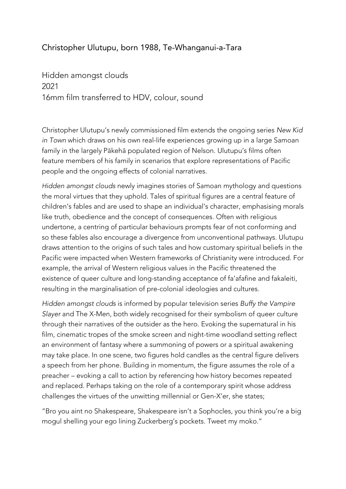## Christopher Ulutupu, born 1988, Te-Whanganui-a-Tara

Hidden amongst clouds 2021 16mm film transferred to HDV, colour, sound

Christopher Ulutupu's newly commissioned film extends the ongoing series *New Kid in Town* which draws on his own real-life experiences growing up in a large Samoan family in the largely Pākehā populated region of Nelson. Ulutupu's films often feature members of his family in scenarios that explore representations of Pacific people and the ongoing effects of colonial narratives.

*Hidden amongst clouds* newly imagines stories of Samoan mythology and questions the moral virtues that they uphold. Tales of spiritual figures are a central feature of children's fables and are used to shape an individual's character, emphasising morals like truth, obedience and the concept of consequences. Often with religious undertone, a centring of particular behaviours prompts fear of not conforming and so these fables also encourage a divergence from unconventional pathways. Ulutupu draws attention to the origins of such tales and how customary spiritual beliefs in the Pacific were impacted when Western frameworks of Christianity were introduced. For example, the arrival of Western religious values in the Pacific threatened the existence of queer culture and long-standing acceptance of fa'afafine and fakaleiti, resulting in the marginalisation of pre-colonial ideologies and cultures.

*Hidden amongst clouds* is informed by popular television series *Buffy the Vampire Slayer* and The X-Men, both widely recognised for their symbolism of queer culture through their narratives of the outsider as the hero. Evoking the supernatural in his film, cinematic tropes of the smoke screen and night-time woodland setting reflect an environment of fantasy where a summoning of powers or a spiritual awakening may take place. In one scene, two figures hold candles as the central figure delivers a speech from her phone. Building in momentum, the figure assumes the role of a preacher – evoking a call to action by referencing how history becomes repeated and replaced. Perhaps taking on the role of a contemporary spirit whose address challenges the virtues of the unwitting millennial or Gen-X'er, she states;

"Bro you aint no Shakespeare, Shakespeare isn't a Sophocles, you think you're a big mogul shelling your ego lining Zuckerberg's pockets. Tweet my moko."